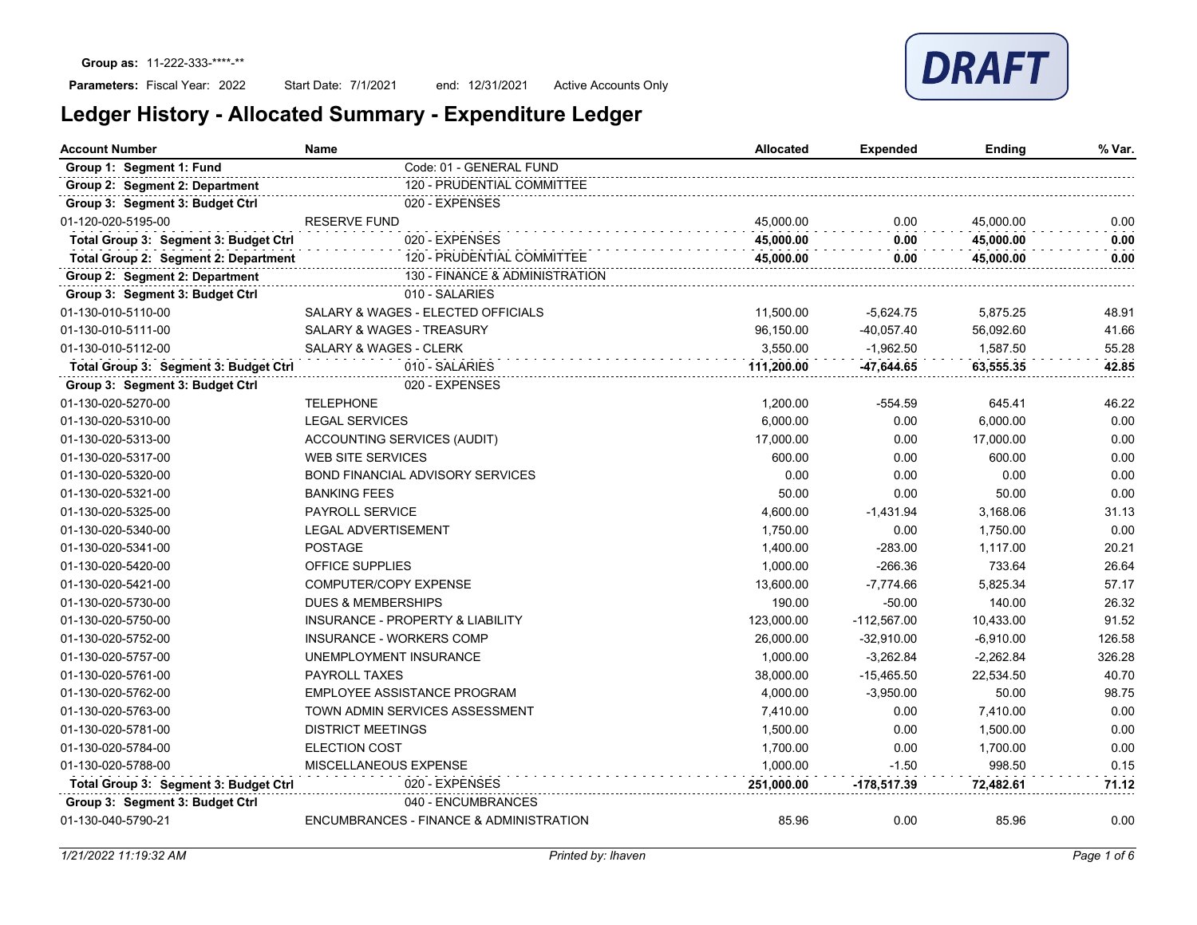## Parameters: Fiscal Year: 2022

Start Date: 7/1/2021 end: 12/31/2021 Active Accounts Only

| Ledger History - Allocated Summary - Expenditure Ledger |  |  |  |
|---------------------------------------------------------|--|--|--|
|                                                         |  |  |  |

| Account Number                        | Name                                        | <b>Allocated</b> | Expended      | <b>Ending</b> | % Var. |
|---------------------------------------|---------------------------------------------|------------------|---------------|---------------|--------|
| Group 1: Segment 1: Fund              | Code: 01 - GENERAL FUND                     |                  |               |               |        |
| Group 2: Segment 2: Department        | 120 - PRUDENTIAL COMMITTEE                  |                  |               |               |        |
| Group 3: Segment 3: Budget Ctrl       | 020 - EXPENSES                              |                  |               |               |        |
| 01-120-020-5195-00                    | <b>RESERVE FUND</b>                         | 45,000.00        | 0.00          | 45,000.00     | 0.00   |
| Total Group 3: Segment 3: Budget Ctrl | 020 - EXPENSES                              | 45.000.00        | 0.00          | 45,000.00     | 0.00   |
| Total Group 2: Segment 2: Department  | 120 - PRUDENTIAL COMMITTEE                  | 45,000.00        | 0.00          | 45,000.00     | 0.00   |
| Group 2: Segment 2: Department        | 130 - FINANCE & ADMINISTRATION              |                  |               |               |        |
| Group 3: Segment 3: Budget Ctrl       | 010 - SALARIES                              |                  |               |               |        |
| 01-130-010-5110-00                    | SALARY & WAGES - ELECTED OFFICIALS          | 11,500.00        | $-5,624.75$   | 5,875.25      | 48.91  |
| 01-130-010-5111-00                    | <b>SALARY &amp; WAGES - TREASURY</b>        | 96.150.00        | $-40.057.40$  | 56.092.60     | 41.66  |
| 01-130-010-5112-00                    | SALARY & WAGES - CLERK                      | 3,550.00         | $-1,962.50$   | 1,587.50      | 55.28  |
| Total Group 3: Segment 3: Budget Ctrl | 010 - SALARIES                              | 111.200.00       | -47.644.65    | 63,555.35     | 42.85  |
| Group 3: Segment 3: Budget Ctrl       | 020 - EXPENSES                              |                  |               |               |        |
| 01-130-020-5270-00                    | <b>TELEPHONE</b>                            | 1,200.00         | $-554.59$     | 645.41        | 46.22  |
| 01-130-020-5310-00                    | <b>LEGAL SERVICES</b>                       | 6,000.00         | 0.00          | 6,000.00      | 0.00   |
| 01-130-020-5313-00                    | ACCOUNTING SERVICES (AUDIT)                 | 17,000.00        | 0.00          | 17,000.00     | 0.00   |
| 01-130-020-5317-00                    | <b>WEB SITE SERVICES</b>                    | 600.00           | 0.00          | 600.00        | 0.00   |
| 01-130-020-5320-00                    | <b>BOND FINANCIAL ADVISORY SERVICES</b>     | 0.00             | 0.00          | 0.00          | 0.00   |
| 01-130-020-5321-00                    | <b>BANKING FEES</b>                         | 50.00            | 0.00          | 50.00         | 0.00   |
| 01-130-020-5325-00                    | <b>PAYROLL SERVICE</b>                      | 4,600.00         | $-1,431.94$   | 3,168.06      | 31.13  |
| 01-130-020-5340-00                    | <b>LEGAL ADVERTISEMENT</b>                  | 1,750.00         | 0.00          | 1,750.00      | 0.00   |
| 01-130-020-5341-00                    | <b>POSTAGE</b>                              | 1,400.00         | $-283.00$     | 1,117.00      | 20.21  |
| 01-130-020-5420-00                    | <b>OFFICE SUPPLIES</b>                      | 1,000.00         | $-266.36$     | 733.64        | 26.64  |
| 01-130-020-5421-00                    | COMPUTER/COPY EXPENSE                       | 13,600.00        | $-7,774.66$   | 5,825.34      | 57.17  |
| 01-130-020-5730-00                    | <b>DUES &amp; MEMBERSHIPS</b>               | 190.00           | $-50.00$      | 140.00        | 26.32  |
| 01-130-020-5750-00                    | <b>INSURANCE - PROPERTY &amp; LIABILITY</b> | 123,000.00       | $-112,567.00$ | 10,433.00     | 91.52  |
| 01-130-020-5752-00                    | <b>INSURANCE - WORKERS COMP</b>             | 26,000.00        | $-32,910.00$  | $-6,910.00$   | 126.58 |
| 01-130-020-5757-00                    | UNEMPLOYMENT INSURANCE                      | 1,000.00         | $-3,262.84$   | $-2,262.84$   | 326.28 |
| 01-130-020-5761-00                    | <b>PAYROLL TAXES</b>                        | 38,000.00        | $-15,465.50$  | 22,534.50     | 40.70  |
| 01-130-020-5762-00                    | <b>EMPLOYEE ASSISTANCE PROGRAM</b>          | 4,000.00         | $-3,950.00$   | 50.00         | 98.75  |
| 01-130-020-5763-00                    | TOWN ADMIN SERVICES ASSESSMENT              | 7,410.00         | 0.00          | 7,410.00      | 0.00   |
| 01-130-020-5781-00                    | <b>DISTRICT MEETINGS</b>                    | 1,500.00         | 0.00          | 1,500.00      | 0.00   |
| 01-130-020-5784-00                    | <b>ELECTION COST</b>                        | 1,700.00         | 0.00          | 1,700.00      | 0.00   |
| 01-130-020-5788-00                    | MISCELLANEOUS EXPENSE                       | 1,000.00         | $-1.50$       | 998.50        | 0.15   |
| Total Group 3: Segment 3: Budget Ctrl | 020 - EXPENSES                              | 251,000.00       | -178,517.39   | 72,482.61     | 71.12  |
| Group 3: Segment 3: Budget Ctrl       | 040 - ENCUMBRANCES                          |                  |               |               |        |
| 01-130-040-5790-21                    | ENCUMBRANCES - FINANCE & ADMINISTRATION     | 85.96            | 0.00          | 85.96         | 0.00   |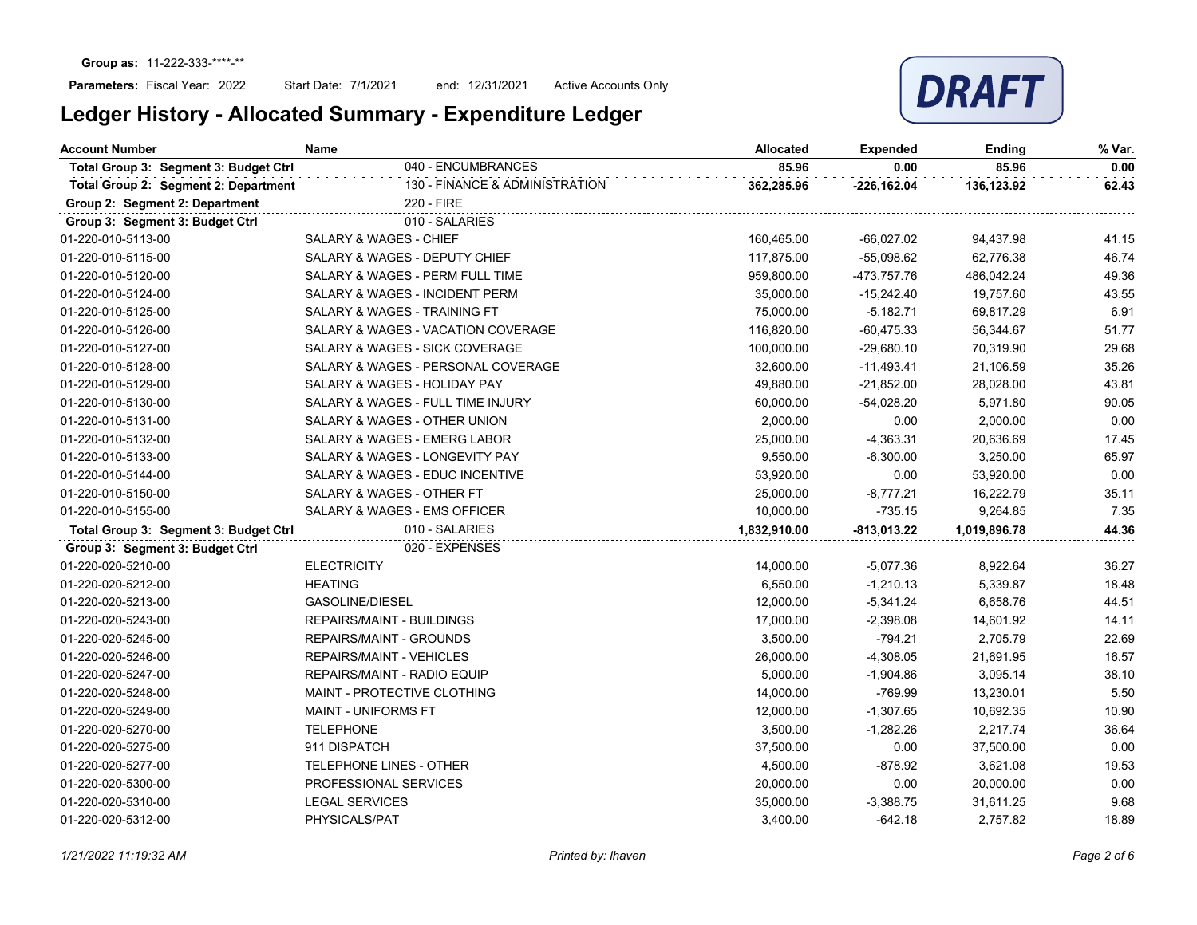

| <b>Account Number</b>                 | Name                               | <b>Allocated</b> | <b>Expended</b> | Ending       | % Var. |
|---------------------------------------|------------------------------------|------------------|-----------------|--------------|--------|
| Total Group 3: Segment 3: Budget Ctrl | 040 - ENCUMBRANCES                 | 85.96            | 0.00            | 85.96        | 0.00   |
| Total Group 2: Segment 2: Department  | 130 - FINANCE & ADMINISTRATION     | 362,285.96       | $-226, 162.04$  | 136,123.92   | 62.43  |
| Group 2: Segment 2: Department        | 220 - FIRE                         |                  |                 |              |        |
| Group 3: Segment 3: Budget Ctrl       | 010 - SALARIES                     |                  |                 |              |        |
| 01-220-010-5113-00                    | SALARY & WAGES - CHIEF             | 160,465.00       | $-66,027.02$    | 94,437.98    | 41.15  |
| 01-220-010-5115-00                    | SALARY & WAGES - DEPUTY CHIEF      | 117,875.00       | $-55,098.62$    | 62,776.38    | 46.74  |
| 01-220-010-5120-00                    | SALARY & WAGES - PERM FULL TIME    | 959,800.00       | -473,757.76     | 486,042.24   | 49.36  |
| 01-220-010-5124-00                    | SALARY & WAGES - INCIDENT PERM     | 35,000.00        | $-15,242.40$    | 19,757.60    | 43.55  |
| 01-220-010-5125-00                    | SALARY & WAGES - TRAINING FT       | 75,000.00        | $-5,182.71$     | 69,817.29    | 6.91   |
| 01-220-010-5126-00                    | SALARY & WAGES - VACATION COVERAGE | 116,820.00       | $-60,475.33$    | 56,344.67    | 51.77  |
| 01-220-010-5127-00                    | SALARY & WAGES - SICK COVERAGE     | 100,000.00       | $-29,680.10$    | 70,319.90    | 29.68  |
| 01-220-010-5128-00                    | SALARY & WAGES - PERSONAL COVERAGE | 32,600.00        | $-11,493.41$    | 21,106.59    | 35.26  |
| 01-220-010-5129-00                    | SALARY & WAGES - HOLIDAY PAY       | 49,880.00        | $-21,852.00$    | 28,028.00    | 43.81  |
| 01-220-010-5130-00                    | SALARY & WAGES - FULL TIME INJURY  | 60,000.00        | $-54,028.20$    | 5,971.80     | 90.05  |
| 01-220-010-5131-00                    | SALARY & WAGES - OTHER UNION       | 2,000.00         | 0.00            | 2,000.00     | 0.00   |
| 01-220-010-5132-00                    | SALARY & WAGES - EMERG LABOR       | 25,000.00        | $-4,363.31$     | 20,636.69    | 17.45  |
| 01-220-010-5133-00                    | SALARY & WAGES - LONGEVITY PAY     | 9,550.00         | $-6,300.00$     | 3,250.00     | 65.97  |
| 01-220-010-5144-00                    | SALARY & WAGES - EDUC INCENTIVE    | 53,920.00        | 0.00            | 53,920.00    | 0.00   |
| 01-220-010-5150-00                    | SALARY & WAGES - OTHER FT          | 25,000.00        | $-8,777.21$     | 16,222.79    | 35.11  |
| 01-220-010-5155-00                    | SALARY & WAGES - EMS OFFICER       | 10,000.00        | $-735.15$       | 9,264.85     | 7.35   |
| Total Group 3: Segment 3: Budget Ctrl | 010 - SALARIES                     | 1,832,910.00     | $-813,013.22$   | 1,019,896.78 | 44.36  |
| Group 3: Segment 3: Budget Ctrl       | 020 - EXPENSES                     |                  |                 |              |        |
| 01-220-020-5210-00                    | <b>ELECTRICITY</b>                 | 14,000.00        | $-5,077.36$     | 8,922.64     | 36.27  |
| 01-220-020-5212-00                    | <b>HEATING</b>                     | 6,550.00         | $-1,210.13$     | 5,339.87     | 18.48  |
| 01-220-020-5213-00                    | GASOLINE/DIESEL                    | 12,000.00        | $-5,341.24$     | 6,658.76     | 44.51  |
| 01-220-020-5243-00                    | <b>REPAIRS/MAINT - BUILDINGS</b>   | 17,000.00        | $-2,398.08$     | 14,601.92    | 14.11  |
| 01-220-020-5245-00                    | <b>REPAIRS/MAINT - GROUNDS</b>     | 3,500.00         | $-794.21$       | 2,705.79     | 22.69  |
| 01-220-020-5246-00                    | <b>REPAIRS/MAINT - VEHICLES</b>    | 26,000.00        | $-4,308.05$     | 21,691.95    | 16.57  |
| 01-220-020-5247-00                    | REPAIRS/MAINT - RADIO EQUIP        | 5,000.00         | $-1,904.86$     | 3,095.14     | 38.10  |
| 01-220-020-5248-00                    | MAINT - PROTECTIVE CLOTHING        | 14,000.00        | $-769.99$       | 13,230.01    | 5.50   |
| 01-220-020-5249-00                    | MAINT - UNIFORMS FT                | 12,000.00        | $-1,307.65$     | 10,692.35    | 10.90  |
| 01-220-020-5270-00                    | <b>TELEPHONE</b>                   | 3,500.00         | $-1,282.26$     | 2,217.74     | 36.64  |
| 01-220-020-5275-00                    | 911 DISPATCH                       | 37,500.00        | 0.00            | 37,500.00    | 0.00   |
| 01-220-020-5277-00                    | <b>TELEPHONE LINES - OTHER</b>     | 4,500.00         | $-878.92$       | 3,621.08     | 19.53  |
| 01-220-020-5300-00                    | PROFESSIONAL SERVICES              | 20,000.00        | 0.00            | 20,000.00    | 0.00   |
| 01-220-020-5310-00                    | <b>LEGAL SERVICES</b>              | 35,000.00        | $-3,388.75$     | 31,611.25    | 9.68   |
| 01-220-020-5312-00                    | PHYSICALS/PAT                      | 3,400.00         | $-642.18$       | 2,757.82     | 18.89  |
|                                       |                                    |                  |                 |              |        |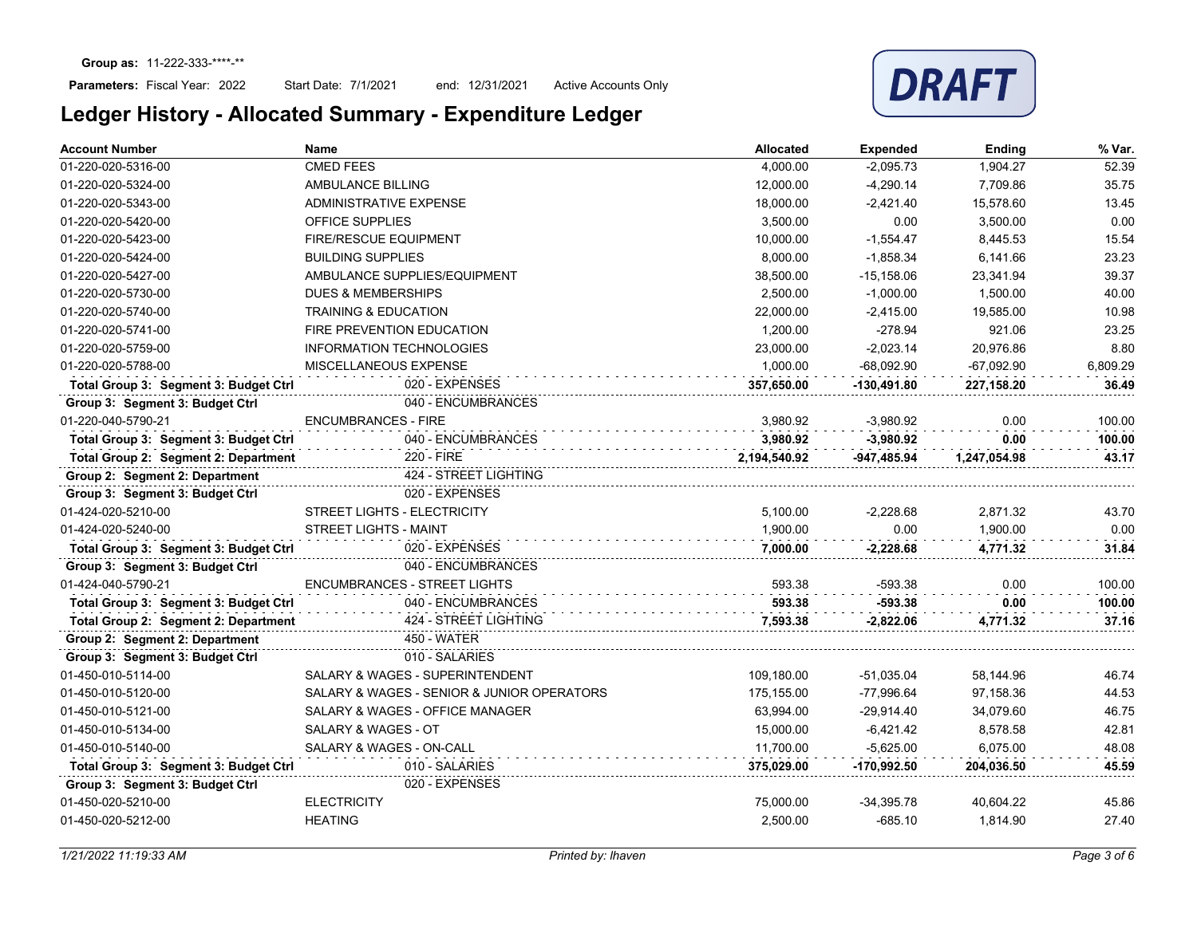

| <b>Account Number</b>                 | <b>Name</b>                                | <b>Allocated</b> | <b>Expended</b> | <b>Ending</b> | % Var.   |
|---------------------------------------|--------------------------------------------|------------------|-----------------|---------------|----------|
| 01-220-020-5316-00                    | <b>CMED FEES</b>                           | 4,000.00         | $-2,095.73$     | 1,904.27      | 52.39    |
| 01-220-020-5324-00                    | AMBULANCE BILLING                          | 12,000.00        | $-4,290.14$     | 7,709.86      | 35.75    |
| 01-220-020-5343-00                    | <b>ADMINISTRATIVE EXPENSE</b>              | 18,000.00        | $-2,421.40$     | 15,578.60     | 13.45    |
| 01-220-020-5420-00                    | <b>OFFICE SUPPLIES</b>                     | 3,500.00         | 0.00            | 3,500.00      | 0.00     |
| 01-220-020-5423-00                    | <b>FIRE/RESCUE EQUIPMENT</b>               | 10,000.00        | $-1,554.47$     | 8.445.53      | 15.54    |
| 01-220-020-5424-00                    | <b>BUILDING SUPPLIES</b>                   | 8,000.00         | $-1,858.34$     | 6,141.66      | 23.23    |
| 01-220-020-5427-00                    | AMBULANCE SUPPLIES/EQUIPMENT               | 38,500.00        | $-15,158.06$    | 23,341.94     | 39.37    |
| 01-220-020-5730-00                    | <b>DUES &amp; MEMBERSHIPS</b>              | 2,500.00         | $-1,000.00$     | 1,500.00      | 40.00    |
| 01-220-020-5740-00                    | <b>TRAINING &amp; EDUCATION</b>            | 22,000.00        | $-2,415.00$     | 19,585.00     | 10.98    |
| 01-220-020-5741-00                    | FIRE PREVENTION EDUCATION                  | 1,200.00         | $-278.94$       | 921.06        | 23.25    |
| 01-220-020-5759-00                    | INFORMATION TECHNOLOGIES                   | 23.000.00        | $-2.023.14$     | 20.976.86     | 8.80     |
| 01-220-020-5788-00                    | MISCELLANEOUS EXPENSE                      | 1.000.00         | $-68.092.90$    | $-67.092.90$  | 6.809.29 |
| Total Group 3: Segment 3: Budget Ctrl | 020 - EXPENSES                             | 357,650.00       | $-130,491.80$   | 227,158.20    | 36.49    |
| Group 3: Segment 3: Budget Ctrl       | 040 - ENCUMBRANCES                         |                  |                 |               |          |
| 01-220-040-5790-21                    | <b>ENCUMBRANCES - FIRE</b>                 | 3,980.92         | $-3,980.92$     | 0.00          | 100.00   |
| Total Group 3: Segment 3: Budget Ctrl | 040 - ENCUMBRANCES                         | 3,980.92         | $-3.980.92$     | 0.00          | 100.00   |
| Total Group 2: Segment 2: Department  | 220 - FIRE                                 | 2,194,540.92     | -947.485.94     | 1,247,054.98  | 43.17    |
| Group 2: Segment 2: Department        | 424 - STREET LIGHTING                      |                  |                 |               |          |
| Group 3: Segment 3: Budget Ctrl       | 020 - EXPENSES                             |                  |                 |               |          |
| 01-424-020-5210-00                    | STREET LIGHTS - ELECTRICITY                | 5,100.00         | $-2,228.68$     | 2,871.32      | 43.70    |
| 01-424-020-5240-00                    | STREET LIGHTS - MAINT                      | 1,900.00         | 0.00            | 1,900.00      | 0.00     |
| Total Group 3: Segment 3: Budget Ctrl | 020 - EXPENSES                             | 7,000.00         | $-2,228.68$     | 4,771.32      | 31.84    |
| Group 3: Segment 3: Budget Ctrl       | 040 - ENCUMBRANCES                         |                  |                 |               |          |
| 01-424-040-5790-21                    | <b>ENCUMBRANCES - STREET LIGHTS</b>        | 593.38           | $-593.38$       | 0.00          | 100.00   |
| Total Group 3: Segment 3: Budget Ctrl | 040 - ENCUMBRANCES                         | 593.38           | $-593.38$       | 0.00          | 100.00   |
| Total Group 2: Segment 2: Department  | 424 - STREET LIGHTING                      | 7,593.38         | $-2,822.06$     | 4,771.32      | 37.16    |
| Group 2: Segment 2: Department        | 450 - WATER                                |                  |                 |               |          |
| Group 3: Segment 3: Budget Ctrl       | 010 - SALARIES                             |                  |                 |               |          |
| 01-450-010-5114-00                    | SALARY & WAGES - SUPERINTENDENT            | 109.180.00       | $-51.035.04$    | 58,144.96     | 46.74    |
| 01-450-010-5120-00                    | SALARY & WAGES - SENIOR & JUNIOR OPERATORS | 175.155.00       | -77.996.64      | 97,158.36     | 44.53    |
| 01-450-010-5121-00                    | SALARY & WAGES - OFFICE MANAGER            | 63,994.00        | $-29,914.40$    | 34,079.60     | 46.75    |
| 01-450-010-5134-00                    | <b>SALARY &amp; WAGES - OT</b>             | 15,000.00        | $-6,421.42$     | 8,578.58      | 42.81    |
| 01-450-010-5140-00                    | SALARY & WAGES - ON-CALL                   | 11,700.00        | $-5,625.00$     | 6,075.00      | 48.08    |
| Total Group 3: Segment 3: Budget Ctrl | 010 - SALARIES                             | 375,029.00       | $-170,992.50$   | 204,036.50    | 45.59    |
| Group 3: Segment 3: Budget Ctrl       | 020 - EXPENSES                             |                  |                 |               |          |
| 01-450-020-5210-00                    | <b>ELECTRICITY</b>                         | 75,000.00        | $-34,395.78$    | 40,604.22     | 45.86    |
| 01-450-020-5212-00                    | <b>HEATING</b>                             | 2,500.00         | $-685.10$       | 1,814.90      | 27.40    |
|                                       |                                            |                  |                 |               |          |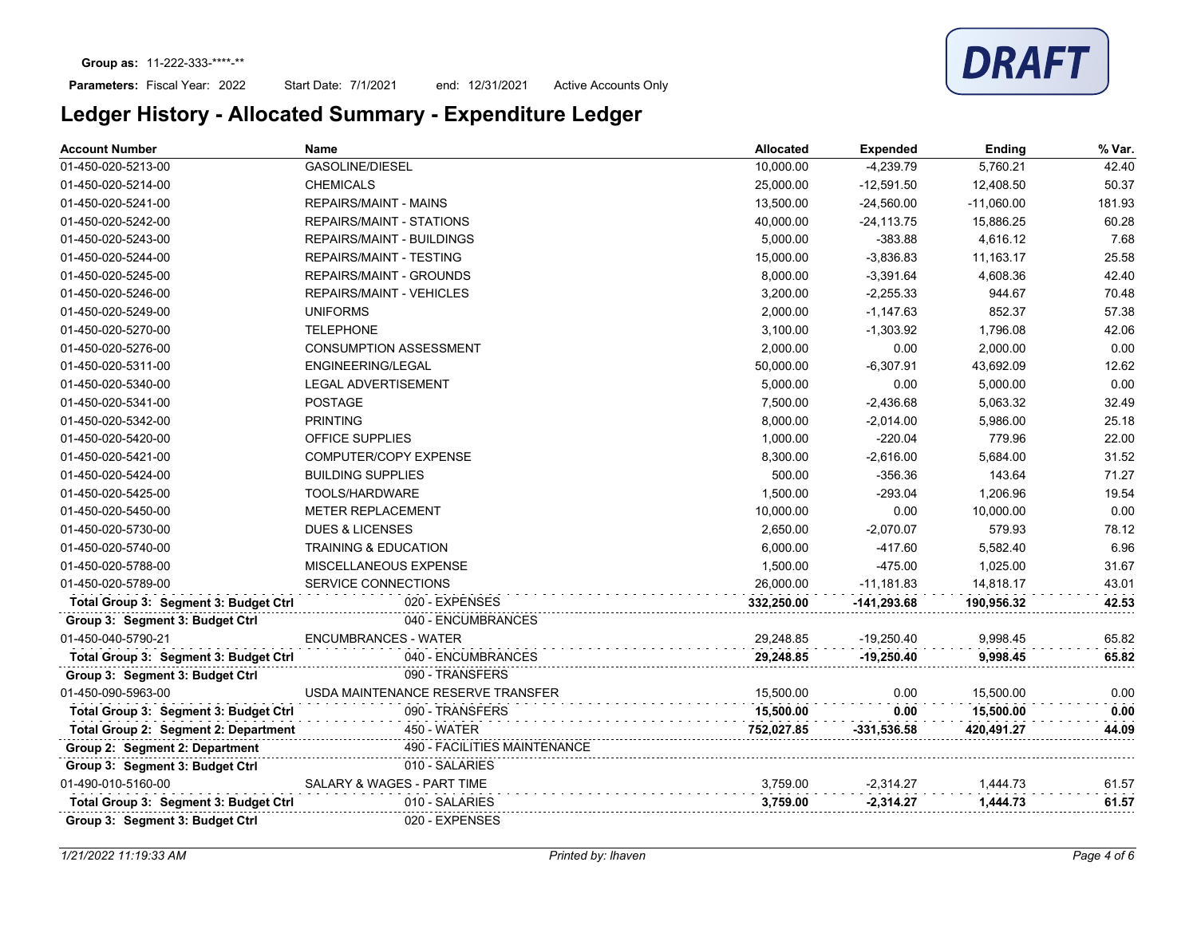### Parameters: Fiscal Year: 2022

Start Date: 7/1/2021 end: 12/31/2021 Active Accounts Only

| <b>Account Number</b>                 | Name                              | <b>Allocated</b> | <b>Expended</b> | Ending       | % Var. |
|---------------------------------------|-----------------------------------|------------------|-----------------|--------------|--------|
| 01-450-020-5213-00                    | <b>GASOLINE/DIESEL</b>            | 10,000.00        | $-4,239.79$     | 5,760.21     | 42.40  |
| 01-450-020-5214-00                    | <b>CHEMICALS</b>                  | 25,000.00        | $-12,591.50$    | 12,408.50    | 50.37  |
| 01-450-020-5241-00                    | <b>REPAIRS/MAINT - MAINS</b>      | 13,500.00        | $-24,560.00$    | $-11,060.00$ | 181.93 |
| 01-450-020-5242-00                    | REPAIRS/MAINT - STATIONS          | 40,000.00        | $-24, 113.75$   | 15,886.25    | 60.28  |
| 01-450-020-5243-00                    | <b>REPAIRS/MAINT - BUILDINGS</b>  | 5,000.00         | $-383.88$       | 4,616.12     | 7.68   |
| 01-450-020-5244-00                    | <b>REPAIRS/MAINT - TESTING</b>    | 15,000.00        | $-3,836.83$     | 11,163.17    | 25.58  |
| 01-450-020-5245-00                    | <b>REPAIRS/MAINT - GROUNDS</b>    | 8,000.00         | $-3,391.64$     | 4,608.36     | 42.40  |
| 01-450-020-5246-00                    | <b>REPAIRS/MAINT - VEHICLES</b>   | 3,200.00         | $-2,255.33$     | 944.67       | 70.48  |
| 01-450-020-5249-00                    | <b>UNIFORMS</b>                   | 2,000.00         | $-1,147.63$     | 852.37       | 57.38  |
| 01-450-020-5270-00                    | <b>TELEPHONE</b>                  | 3,100.00         | $-1,303.92$     | 1,796.08     | 42.06  |
| 01-450-020-5276-00                    | <b>CONSUMPTION ASSESSMENT</b>     | 2.000.00         | 0.00            | 2,000.00     | 0.00   |
| 01-450-020-5311-00                    | ENGINEERING/LEGAL                 | 50,000.00        | $-6,307.91$     | 43,692.09    | 12.62  |
| 01-450-020-5340-00                    | <b>LEGAL ADVERTISEMENT</b>        | 5,000.00         | 0.00            | 5,000.00     | 0.00   |
| 01-450-020-5341-00                    | <b>POSTAGE</b>                    | 7,500.00         | -2,436.68       | 5,063.32     | 32.49  |
| 01-450-020-5342-00                    | <b>PRINTING</b>                   | 8,000.00         | $-2,014.00$     | 5,986.00     | 25.18  |
| 01-450-020-5420-00                    | <b>OFFICE SUPPLIES</b>            | 1,000.00         | $-220.04$       | 779.96       | 22.00  |
| 01-450-020-5421-00                    | <b>COMPUTER/COPY EXPENSE</b>      | 8,300.00         | $-2,616.00$     | 5,684.00     | 31.52  |
| 01-450-020-5424-00                    | <b>BUILDING SUPPLIES</b>          | 500.00           | $-356.36$       | 143.64       | 71.27  |
| 01-450-020-5425-00                    | TOOLS/HARDWARE                    | 1,500.00         | $-293.04$       | 1,206.96     | 19.54  |
| 01-450-020-5450-00                    | <b>METER REPLACEMENT</b>          | 10,000.00        | 0.00            | 10,000.00    | 0.00   |
| 01-450-020-5730-00                    | <b>DUES &amp; LICENSES</b>        | 2,650.00         | $-2,070.07$     | 579.93       | 78.12  |
| 01-450-020-5740-00                    | <b>TRAINING &amp; EDUCATION</b>   | 6,000.00         | $-417.60$       | 5,582.40     | 6.96   |
| 01-450-020-5788-00                    | MISCELLANEOUS EXPENSE             | 1,500.00         | $-475.00$       | 1,025.00     | 31.67  |
| 01-450-020-5789-00                    | SERVICE CONNECTIONS               | 26,000.00        | $-11,181.83$    | 14,818.17    | 43.01  |
| Total Group 3: Segment 3: Budget Ctrl | 020 - EXPENSES                    | 332,250.00       | $-141,293.68$   | 190,956.32   | 42.53  |
| Group 3: Segment 3: Budget Ctrl       | 040 - ENCUMBRANCES                |                  |                 |              |        |
| 01-450-040-5790-21                    | <b>ENCUMBRANCES - WATER</b>       | 29.248.85        | $-19,250.40$    | 9.998.45     | 65.82  |
| Total Group 3: Segment 3: Budget Ctrl | 040 - ENCUMBRANCES                | 29,248.85        | $-19,250.40$    | 9,998.45     | 65.82  |
| Group 3: Segment 3: Budget Ctrl       | 090 - TRANSFERS                   |                  |                 |              |        |
| 01-450-090-5963-00                    | USDA MAINTENANCE RESERVE TRANSFER | 15.500.00        | 0.00            | 15,500.00    | 0.00   |
| Total Group 3: Segment 3: Budget Ctrl | 090 - TRANSFERS                   | 15,500.00        | 0.00            | 15,500.00    | 0.00   |
| Total Group 2: Segment 2: Department  | <b>450 - WATER</b>                | 752.027.85       | $-331,536.58$   | 420,491.27   | 44.09  |
| Group 2: Segment 2: Department        | 490 - FACILITIES MAINTENANCE      |                  |                 |              |        |
| Group 3: Segment 3: Budget Ctrl       | 010 - SALARIES                    |                  |                 |              |        |
| 01-490-010-5160-00                    | SALARY & WAGES - PART TIME        | 3,759.00         | $-2,314.27$     | 1,444.73     | 61.57  |
| Total Group 3: Segment 3: Budget Ctrl | 010 - SALARIES                    | 3,759.00         | $-2,314.27$     | 1,444.73     | 61.57  |
| Group 3: Segment 3: Budget Ctrl       | 020 - EXPENSES                    |                  |                 |              |        |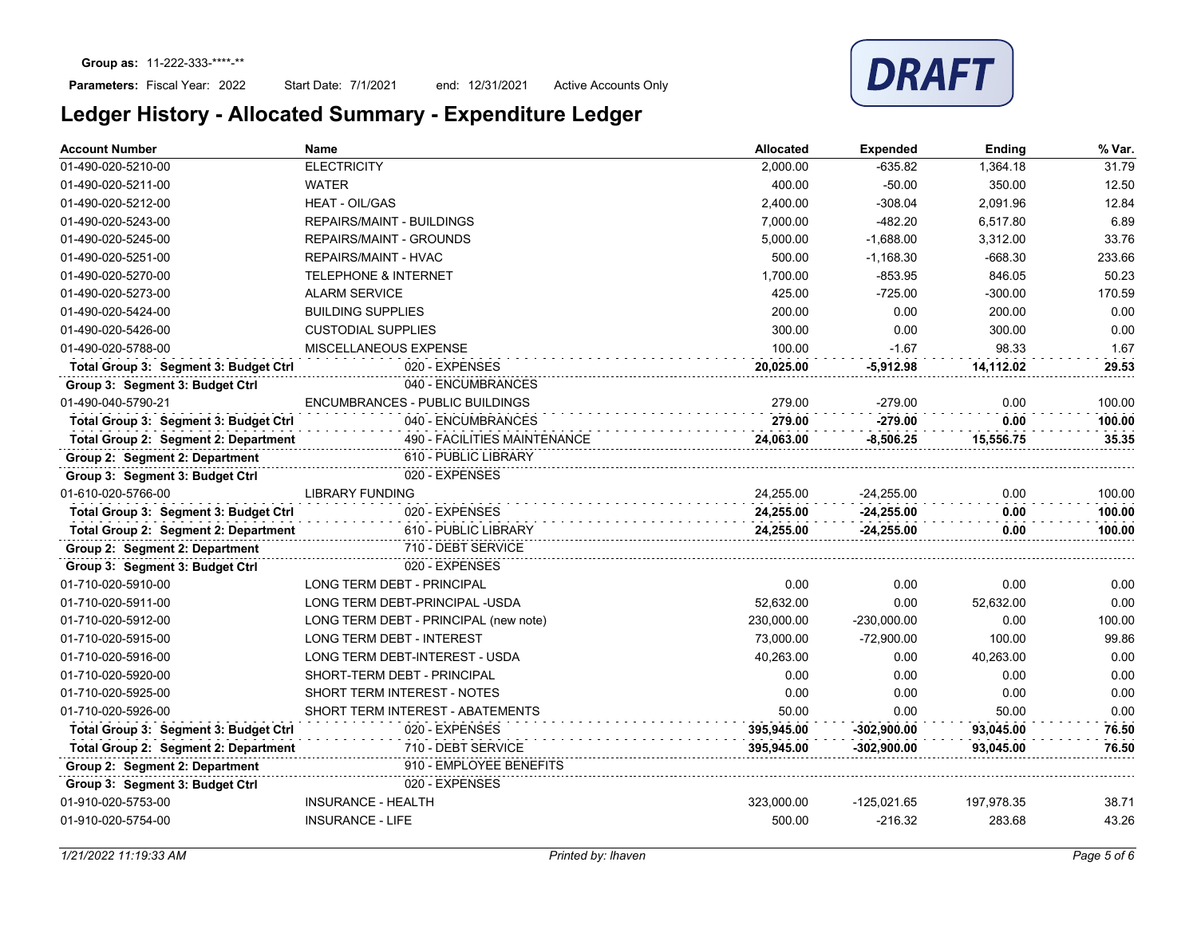

| <b>Account Number</b>                 | <b>Name</b>                           | <b>Allocated</b> | <b>Expended</b> | Ending     | % Var. |
|---------------------------------------|---------------------------------------|------------------|-----------------|------------|--------|
| 01-490-020-5210-00                    | <b>ELECTRICITY</b>                    | 2,000.00         | $-635.82$       | 1,364.18   | 31.79  |
| 01-490-020-5211-00                    | <b>WATER</b>                          | 400.00           | $-50.00$        | 350.00     | 12.50  |
| 01-490-020-5212-00                    | <b>HEAT - OIL/GAS</b>                 | 2,400.00         | $-308.04$       | 2,091.96   | 12.84  |
| 01-490-020-5243-00                    | <b>REPAIRS/MAINT - BUILDINGS</b>      | 7,000.00         | $-482.20$       | 6,517.80   | 6.89   |
| 01-490-020-5245-00                    | <b>REPAIRS/MAINT - GROUNDS</b>        | 5,000.00         | $-1.688.00$     | 3,312.00   | 33.76  |
| 01-490-020-5251-00                    | <b>REPAIRS/MAINT - HVAC</b>           | 500.00           | $-1,168.30$     | $-668.30$  | 233.66 |
| 01-490-020-5270-00                    | <b>TELEPHONE &amp; INTERNET</b>       | 1,700.00         | $-853.95$       | 846.05     | 50.23  |
| 01-490-020-5273-00                    | <b>ALARM SERVICE</b>                  | 425.00           | $-725.00$       | $-300.00$  | 170.59 |
| 01-490-020-5424-00                    | <b>BUILDING SUPPLIES</b>              | 200.00           | 0.00            | 200.00     | 0.00   |
| 01-490-020-5426-00                    | <b>CUSTODIAL SUPPLIES</b>             | 300.00           | 0.00            | 300.00     | 0.00   |
| 01-490-020-5788-00                    | MISCELLANEOUS EXPENSE                 | 100.00           | $-1.67$         | 98.33      | 1.67   |
| Total Group 3: Segment 3: Budget Ctrl | 020 - EXPENSES                        | 20,025.00        | $-5,912.98$     | 14,112.02  | 29.53  |
| Group 3: Segment 3: Budget Ctrl       | 040 - ENCUMBRANCES                    |                  |                 |            |        |
| 01-490-040-5790-21                    | ENCUMBRANCES - PUBLIC BUILDINGS       | 279.00           | $-279.00$       | 0.00       | 100.00 |
| Total Group 3: Segment 3: Budget Ctrl | 040 - ENCUMBRANCES                    | 279.00           | $-279.00$       | 0.00       | 100.00 |
| Total Group 2: Segment 2: Department  | 490 - FACILITIES MAINTENANCE          | 24,063.00        | $-8,506.25$     | 15,556.75  | 35.35  |
| Group 2: Segment 2: Department        | 610 - PUBLIC LIBRARY                  |                  |                 |            |        |
| Group 3: Segment 3: Budget Ctrl       | 020 - EXPENSES                        |                  |                 |            |        |
| 01-610-020-5766-00                    | <b>LIBRARY FUNDING</b>                | 24,255.00        | $-24,255.00$    | 0.00       | 100.00 |
| Total Group 3: Segment 3: Budget Ctrl | 020 - EXPENSES                        | 24,255.00        | $-24,255.00$    | 0.00       | 100.00 |
| Total Group 2: Segment 2: Department  | 610 - PUBLIC LIBRARY                  | 24,255.00        | $-24,255.00$    | 0.00       | 100.00 |
| Group 2: Segment 2: Department        | 710 - DEBT SERVICE                    |                  |                 |            |        |
| Group 3: Segment 3: Budget Ctrl       | 020 - EXPENSES                        |                  |                 |            |        |
| 01-710-020-5910-00                    | LONG TERM DEBT - PRINCIPAL            | 0.00             | 0.00            | 0.00       | 0.00   |
| 01-710-020-5911-00                    | LONG TERM DEBT-PRINCIPAL -USDA        | 52,632.00        | 0.00            | 52,632.00  | 0.00   |
| 01-710-020-5912-00                    | LONG TERM DEBT - PRINCIPAL (new note) | 230.000.00       | $-230,000.00$   | 0.00       | 100.00 |
| 01-710-020-5915-00                    | <b>LONG TERM DEBT - INTEREST</b>      | 73.000.00        | $-72,900.00$    | 100.00     | 99.86  |
| 01-710-020-5916-00                    | LONG TERM DEBT-INTEREST - USDA        | 40,263.00        | 0.00            | 40,263.00  | 0.00   |
| 01-710-020-5920-00                    | SHORT-TERM DEBT - PRINCIPAL           | 0.00             | 0.00            | 0.00       | 0.00   |
| 01-710-020-5925-00                    | SHORT TERM INTEREST - NOTES           | 0.00             | 0.00            | 0.00       | 0.00   |
| 01-710-020-5926-00                    | SHORT TERM INTEREST - ABATEMENTS      | 50.00            | 0.00            | 50.00      | 0.00   |
| Total Group 3: Segment 3: Budget Ctrl | 020 - EXPENSES                        | 395,945.00       | $-302,900.00$   | 93,045.00  | 76.50  |
| Total Group 2: Segment 2: Department  | 710 - DEBT SERVICE                    | 395,945.00       | $-302,900.00$   | 93,045.00  | 76.50  |
| Group 2: Segment 2: Department        | 910 - EMPLOYEE BENEFITS               |                  |                 |            |        |
| Group 3: Segment 3: Budget Ctrl       | 020 - EXPENSES                        |                  |                 |            |        |
| 01-910-020-5753-00                    | <b>INSURANCE - HEALTH</b>             | 323,000.00       | $-125,021.65$   | 197,978.35 | 38.71  |
| 01-910-020-5754-00                    | <b>INSURANCE - LIFE</b>               | 500.00           | $-216.32$       | 283.68     | 43.26  |